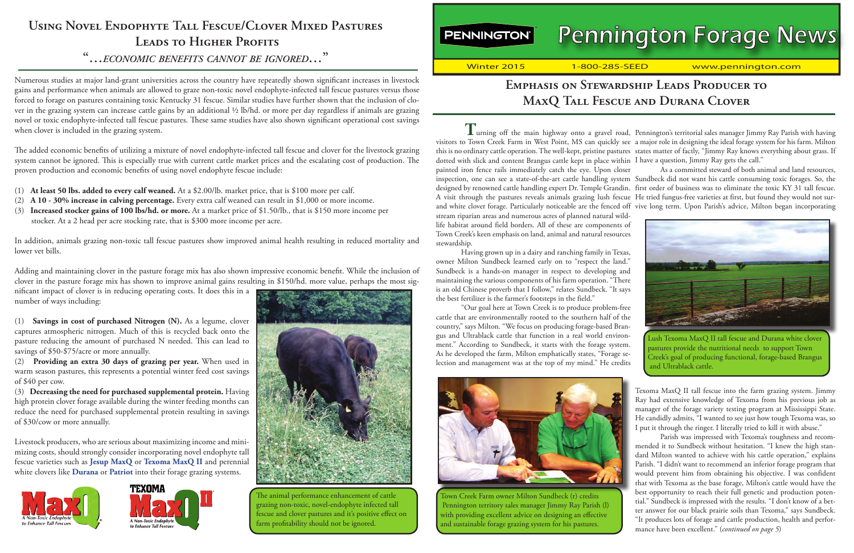**PENNINGTON**®

# **Pennington Forage News**

Winter 2015 1-800-285-SEED www.pennington.com

# **Emphasis on Stewardship Leads Producer to MaxQ Tall Fescue and Durana Clover**

**T**urning off the main highway onto a gravel road, Pennington's territorial sales manager Jimmy Ray Parish with having dotted with slick and content Brangus cattle kept in place within I have a question, Jimmy Ray gets the call." painted iron fence rails immediately catch the eye. Upon closer and white clover forage. Particularly noticeable are the fenced off vive long term. Upon Parish's advice, Milton began incorporating stream riparian areas and numerous acres of planned natural wildlife habitat around field borders. All of these are components of Town Creek's keen emphasis on land, animal and natural resources stewardship.

Having grown up in a dairy and ranching family in Texas, owner Milton Sundbeck learned early on to "respect the land." Sundbeck is a hands-on manager in respect to developing and maintaining the various components of his farm operation. "There is an old Chinese proverb that I follow," relates Sundbeck. "It says the best fertilizer is the farmer's footsteps in the field."

"Our goal here at Town Creek is to produce problem-free cattle that are environmentally rooted to the southern half of the country," says Milton. "We focus on producing forage-based Brangus and Ultrablack cattle that function in a real world environment." According to Sundbeck, it starts with the forage system. As he developed the farm, Milton emphatically states, "Forage selection and management was at the top of my mind." He credits



with providing excellent advice on designing an effective Town Creek Farm owner Milton Sundbeck (r) credits Pennington territory sales manager Jimmy Ray Parish (l) and sustainable forage grazing system for his pastures.

visitors to Town Creek Farm in West Point, MS can quickly see a major role in designing the ideal forage system for his farm. Milton this is no ordinary cattle operation. The well-kept, pristine pastures states matter of factly, "Jimmy Ray knows everything about grass. If

inspection, one can see a state-of-the-art cattle handling system Sundbeck did not want his cattle consuming toxic forages. So, the designed by renowned cattle handling expert Dr. Temple Grandin. first order of business was to eliminate the toxic KY 31 tall fescue. A visit through the pastures reveals animals grazing lush fescue He tried fungus-free varieties at first, but found they would not sur-As a committed steward of both animal and land resources,



1<br>Creek's goal of producing functional, forage-based Brangus Lush Texoma MaxQ II tall fescue and Durana white clover pastures provide the nutritional needs to support Town and Ultrablack cattle.

Texoma MaxQ II tall fescue into the farm grazing system. Jimmy Ray had extensive knowledge of Texoma from his previous job as manager of the forage variety testing program at Mississippi State. He candidly admits, "I wanted to see just how tough Texoma was, so I put it through the ringer. I literally tried to kill it with abuse."

Parish was impressed with Texoma's toughness and recommended it to Sundbeck without hesitation. "I knew the high standard Milton wanted to achieve with his cattle operation," explains Parish. "I didn't want to recommend an inferior forage program that would prevent him from obtaining his objective. I was confident that with Texoma as the base forage, Milton's cattle would have the best opportunity to reach their full genetic and production potential." Sundbeck is impressed with the results. "I don't know of a better answer for our black prairie soils than Texoma," says Sundbeck. "It produces lots of forage and cattle production, health and performance have been excellent." (*continued on page 5*)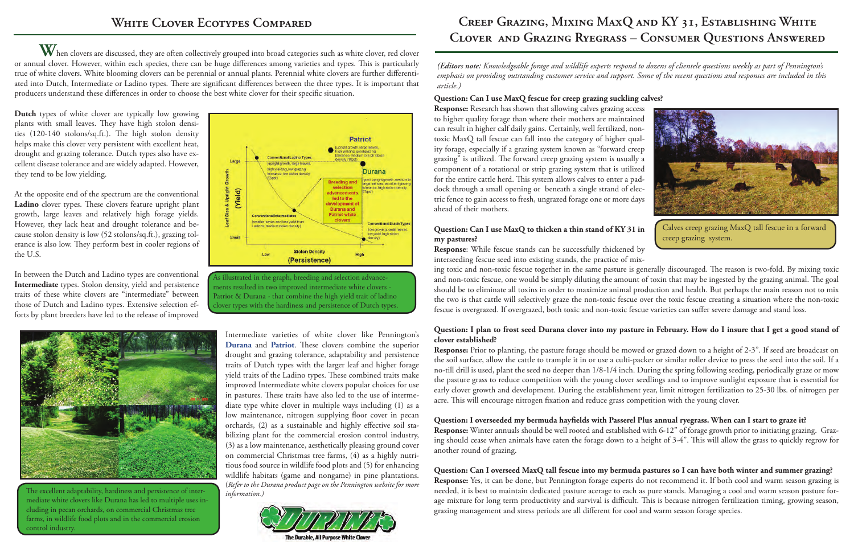**W**hen clovers are discussed, they are often collectively grouped into broad categories such as white clover, red clover or annual clover. However, within each species, there can be huge differences among varieties and types. This is particularly true of white clovers. White blooming clovers can be perennial or annual plants. Perennial white clovers are further differentiated into Dutch, Intermediate or Ladino types. There are significant differences between the three types. It is important that producers understand these differences in order to choose the best white clover for their specific situation.

**Dutch** types of white clover are typically low growing plants with small leaves. They have high stolon densities (120-140 stolons/sq.ft.). The high stolon density helps make this clover very persistent with excellent heat, drought and grazing tolerance. Dutch types also have excellent disease tolerance and are widely adapted. However, they tend to be low yielding.

At the opposite end of the spectrum are the conventional **Ladino** clover types. These clovers feature upright plant growth, large leaves and relatively high forage yields. However, they lack heat and drought tolerance and because stolon density is low (52 stolons/sq.ft.), grazing tolerance is also low. They perform best in cooler regions of the U.S.

In between the Dutch and Ladino types are conventional **Intermediate** types. Stolon density, yield and persistence traits of these white clovers are "intermediate" between those of Dutch and Ladino types. Extensive selection efforts by plant breeders have led to the release of improved



The excellent adaptability, hardiness and persistence of intermediate white clovers like Durana has led to multiple uses including in pecan orchards, on commercial Christmas tree farms, in wildlife food plots and in the commercial erosion control industry.



As illustrated in the graph, breeding and selection advancements resulted in two improved intermediate white clovers - Patriot & Durana - that combine the high yield trait of ladino clover types with the hardiness and persistence of Dutch types.

Intermediate varieties of white clover like Pennington's **[Durana](http://www.pennington.com/pc-cool_season_12-pd-_78)** and **[Patriot](http://www.pennington.com/pc-cool_season_12-pd-_77)**. These clovers combine the superior drought and grazing tolerance, adaptability and persistence traits of Dutch types with the larger leaf and higher forage yield traits of the Ladino types. These combined traits make improved Intermediate white clovers popular choices for use in pastures. These traits have also led to the use of intermediate type white clover in multiple ways including (1) as a low maintenance, nitrogen supplying floor cover in pecan orchards, (2) as a sustainable and highly effective soil stabilizing plant for the commercial erosion control industry, (3) as a low maintenance, aesthetically pleasing ground cover on commercial Christmas tree farms, (4) as a highly nutritious food source in wildlife food plots and (5) for enhancing wildlife habitats (game and nongame) in pine plantations. (*Refer to the Durana product page on the Pennington website for more information.)*

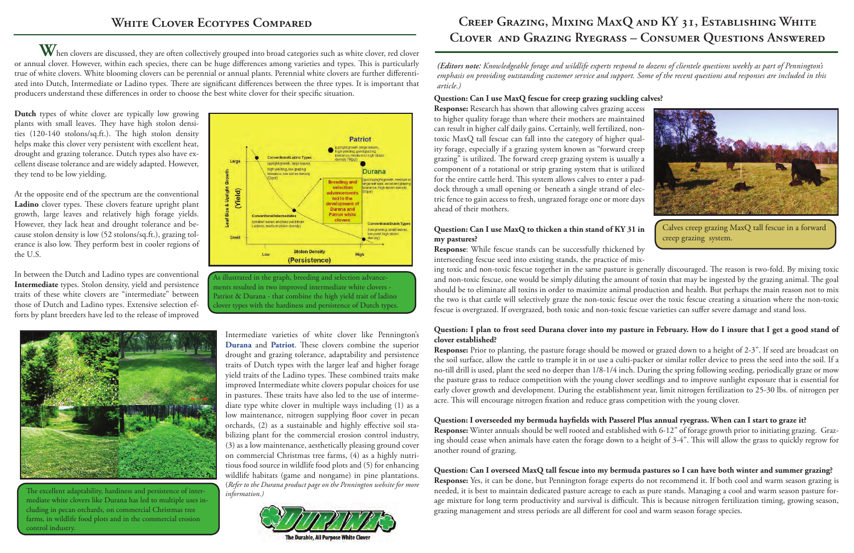# **Creep Grazing, Mixing MaxQ and KY 31, Establishing White Clover and Grazing Ryegrass – Consumer Questions Answered**

*(Editors note: Knowledgeable forage and wildlife experts respond to dozens of clientele questions weekly as part of Pennington's emphasis on providing outstanding customer service and support. Some of the recent questions and responses are included in this article.)*

#### **Question: Can I use MaxQ fescue for creep grazing suckling calves?**

**Response:** Research has shown that allowing calves grazing access to higher quality forage than where their mothers are maintained can result in higher calf daily gains. Certainly, well fertilized, nontoxic MaxQ tall fescue can fall into the category of higher quality forage, especially if a grazing system known as "forward creep grazing" is utilized. The forward creep grazing system is usually a component of a rotational or strip grazing system that is utilized for the entire cattle herd. This system allows calves to enter a paddock through a small opening or beneath a single strand of electric fence to gain access to fresh, ungrazed forage one or more days ahead of their mothers.

#### **Question: Can I use MaxQ to thicken a thin stand of KY 31 in my pastures?**

**Response**: While fescue stands can be successfully thickened by interseeding fescue seed into existing stands, the practice of mix-



Calves creep grazing MaxQ tall fescue in a forward creep grazing system.

ing toxic and non-toxic fescue together in the same pasture is generally discouraged. The reason is two-fold. By mixing toxic and non-toxic fescue, one would be simply diluting the amount of toxin that may be ingested by the grazing animal. The goal should be to eliminate all toxins in order to maximize animal production and health. But perhaps the main reason not to mix the two is that cattle will selectively graze the non-toxic fescue over the toxic fescue creating a situation where the non-toxic fescue is overgrazed. If overgrazed, both toxic and non-toxic fescue varieties can suffer severe damage and stand loss.

#### **Question: I plan to frost seed Durana clover into my pasture in February. How do I insure that I get a good stand of clover established?**

**Response:** Prior to planting, the pasture forage should be mowed or grazed down to a height of 2-3". If seed are broadcast on the soil surface, allow the cattle to trample it in or use a culti-packer or similar roller device to press the seed into the soil. If a no-till drill is used, plant the seed no deeper than 1/8-1/4 inch. During the spring following seeding, periodically graze or mow the pasture grass to reduce competition with the young clover seedlings and to improve sunlight exposure that is essential for early clover growth and development. During the establishment year, limit nitrogen fertilization to 25-30 lbs. of nitrogen per acre. This will encourage nitrogen fixation and reduce grass competition with the young clover.

### **Question: I overseeded my bermuda hayfields with Passerel Plus annual ryegrass. When can I start to graze it?**

**Response:** Winter annuals should be well rooted and established with 6-12" of forage growth prior to initiating grazing. Grazing should cease when animals have eaten the forage down to a height of 3-4". This will allow the grass to quickly regrow for another round of grazing.

### **Question: Can I overseed MaxQ tall fescue into my bermuda pastures so I can have both winter and summer grazing?**

**Response:** Yes, it can be done, but Pennington forage experts do not recommend it. If both cool and warm season grazing is needed, it is best to maintain dedicated pasture acreage to each as pure stands. Managing a cool and warm season pasture forage mixture for long term productivity and survival is difficult. This is because nitrogen fertilization timing, growing season, grazing management and stress periods are all different for cool and warm season forage species.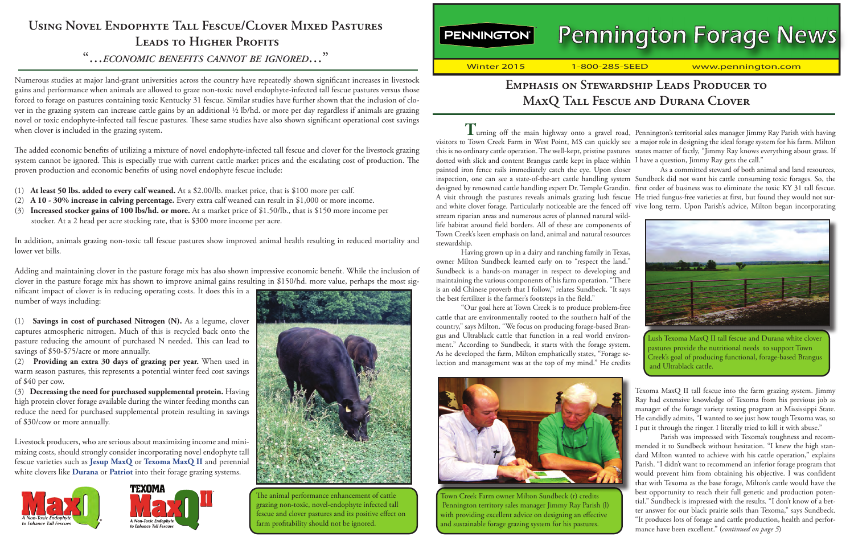# **Using Novel Endophyte Tall Fescue/Clover Mixed Pastures** LEADS TO HIGHER PROFITS

## **"…***economic benefits cannot be ignored***…"**

Numerous studies at major land-grant universities across the country have repeatedly shown significant increases in livestock gains and performance when animals are allowed to graze non-toxic novel endophyte-infected tall fescue pastures versus those forced to forage on pastures containing toxic Kentucky 31 fescue. Similar studies have further shown that the inclusion of clover in the grazing system can increase cattle gains by an additional ½ lb/hd. or more per day regardless if animals are grazing novel or toxic endophyte-infected tall fescue pastures. These same studies have also shown significant operational cost savings when clover is included in the grazing system.

The added economic benefits of utilizing a mixture of novel endophyte-infected tall fescue and clover for the livestock grazing system cannot be ignored. This is especially true with current cattle market prices and the escalating cost of production. The proven production and economic benefits of using novel endophyte fescue include:

- (1) **At least 50 lbs. added to every calf weaned.** At a \$2.00/lb. market price, that is \$100 more per calf.
- (2) **A 10 30% increase in calving percentage.** Every extra calf weaned can result in \$1,000 or more income.
- (3) **Increased stocker gains of 100 lbs/hd. or more.** At a market price of \$1.50/lb., that is \$150 more income per stocker. At a 2 head per acre stocking rate, that is \$300 more income per acre.

In addition, animals grazing non-toxic tall fescue pastures show improved animal health resulting in reduced mortality and lower vet bills.

Adding and maintaining clover in the pasture forage mix has also shown impressive economic benefit. While the inclusion of clover in the pasture forage mix has shown to improve animal gains resulting in \$150/hd. more value, perhaps the most sig-

nificant impact of clover is in reducing operating costs. It does this in a number of ways including:

(1) **Savings in cost of purchased Nitrogen (N).** As a legume, clover captures atmospheric nitrogen. Much of this is recycled back onto the pasture reducing the amount of purchased N needed. This can lead to savings of \$50-\$75/acre or more annually.

(2) **Providing an extra 30 days of grazing per year.** When used in warm season pastures, this represents a potential winter feed cost savings of \$40 per cow.

(3) **Decreasing the need for purchased supplemental protein.** Having high protein clover forage available during the winter feeding months can reduce the need for purchased supplemental protein resulting in savings of \$30/cow or more annually.

Livestock producers, who are serious about maximizing income and minimizing costs, should strongly consider incorporating novel endophyte tall fescue varieties such as **[Jesup MaxQ](http://www.pennington.com/pc-cool_season_12-pd-MaxQ_138)** or **[Texoma MaxQ II](http://www.pennington.com/pc-cool_season_12-pd-_490)** and perennial white clovers like **[Durana](http://www.pennington.com/pc-cool_season_12-pd-_78)** or **[Patriot](http://www.pennington.com/pc-cool_season_12-pd-_77)** into their forage grazing systems.







 fescue and clover pastures and its positive effect on The animal performance enhancement of cattle grazing non-toxic, novel-endophyte infected tall farm profitability should not be ignored.